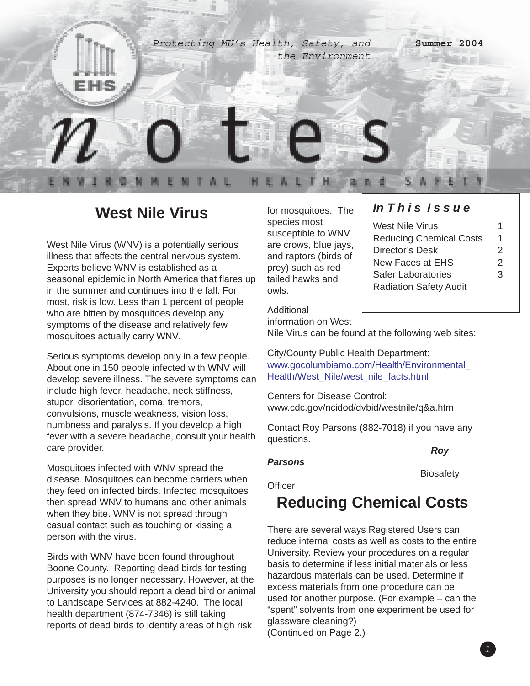

## **West Nile Virus**

West Nile Virus (WNV) is a potentially serious illness that affects the central nervous system. Experts believe WNV is established as a seasonal epidemic in North America that flares up in the summer and continues into the fall. For most, risk is low. Less than 1 percent of people who are bitten by mosquitoes develop any symptoms of the disease and relatively few mosquitoes actually carry WNV.

Serious symptoms develop only in a few people. About one in 150 people infected with WNV will develop severe illness. The severe symptoms can include high fever, headache, neck stiffness, stupor, disorientation, coma, tremors, convulsions, muscle weakness, vision loss, numbness and paralysis. If you develop a high fever with a severe headache, consult your health care provider.

Mosquitoes infected with WNV spread the disease. Mosquitoes can become carriers when they feed on infected birds. Infected mosquitoes then spread WNV to humans and other animals when they bite. WNV is not spread through casual contact such as touching or kissing a person with the virus.

Birds with WNV have been found throughout Boone County. Reporting dead birds for testing purposes is no longer necessary. However, at the University you should report a dead bird or animal to Landscape Services at 882-4240. The local health department (874-7346) is still taking reports of dead birds to identify areas of high risk

for mosquitoes. The species most susceptible to WNV are crows, blue jays, and raptors (birds of prey) such as red tailed hawks and owls.

### *In T h i s I s s u e*

| West Nile Virus                |               |
|--------------------------------|---------------|
| <b>Reducing Chemical Costs</b> | 1             |
| Director's Desk                | $\mathcal{P}$ |
| New Faces at EHS               | 2             |
| Safer Laboratories             | 3             |
| <b>Radiation Safety Audit</b>  |               |

#### Additional

information on West

Nile Virus can be found at the following web sites:

City/County Public Health Department: www.gocolumbiamo.com/Health/Environmental\_ Health/West\_Nile/west\_nile\_facts.html

Centers for Disease Control: www.cdc.gov/ncidod/dvbid/westnile/q&a.htm

Contact Roy Parsons (882-7018) if you have any questions.

*Roy*

### *Parsons*

**Biosafety** 

**Officer** 

# **Reducing Chemical Costs**

There are several ways Registered Users can reduce internal costs as well as costs to the entire University. Review your procedures on a regular basis to determine if less initial materials or less hazardous materials can be used. Determine if excess materials from one procedure can be used for another purpose. (For example – can the "spent" solvents from one experiment be used for glassware cleaning?) (Continued on Page 2.)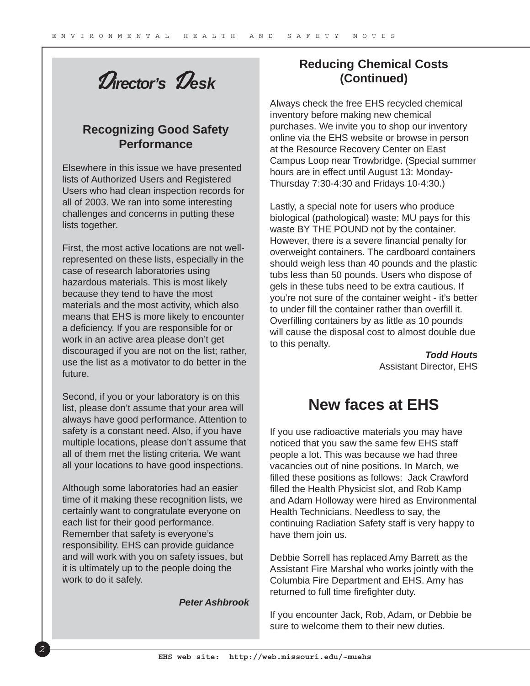D*irector's* D*esk*

### **Recognizing Good Safety Performance**

Elsewhere in this issue we have presented lists of Authorized Users and Registered Users who had clean inspection records for all of 2003. We ran into some interesting challenges and concerns in putting these lists together.

First, the most active locations are not wellrepresented on these lists, especially in the case of research laboratories using hazardous materials. This is most likely because they tend to have the most materials and the most activity, which also means that EHS is more likely to encounter a deficiency. If you are responsible for or work in an active area please don't get discouraged if you are not on the list; rather, use the list as a motivator to do better in the future.

Second, if you or your laboratory is on this list, please don't assume that your area will always have good performance. Attention to safety is a constant need. Also, if you have multiple locations, please don't assume that all of them met the listing criteria. We want all your locations to have good inspections.

Although some laboratories had an easier time of it making these recognition lists, we certainly want to congratulate everyone on each list for their good performance. Remember that safety is everyone's responsibility. EHS can provide guidance and will work with you on safety issues, but it is ultimately up to the people doing the work to do it safely.

*Peter Ashbrook*

### **Reducing Chemical Costs (Continued)**

Always check the free EHS recycled chemical inventory before making new chemical purchases. We invite you to shop our inventory online via the EHS website or browse in person at the Resource Recovery Center on East Campus Loop near Trowbridge. (Special summer hours are in effect until August 13: Monday-Thursday 7:30-4:30 and Fridays 10-4:30.)

Lastly, a special note for users who produce biological (pathological) waste: MU pays for this waste BY THE POUND not by the container. However, there is a severe financial penalty for overweight containers. The cardboard containers should weigh less than 40 pounds and the plastic tubs less than 50 pounds. Users who dispose of gels in these tubs need to be extra cautious. If you're not sure of the container weight - it's better to under fill the container rather than overfill it. Overfilling containers by as little as 10 pounds will cause the disposal cost to almost double due to this penalty.

> *Todd Houts* Assistant Director, EHS

## **New faces at EHS**

If you use radioactive materials you may have noticed that you saw the same few EHS staff people a lot. This was because we had three vacancies out of nine positions. In March, we filled these positions as follows: Jack Crawford filled the Health Physicist slot, and Rob Kamp and Adam Holloway were hired as Environmental Health Technicians. Needless to say, the continuing Radiation Safety staff is very happy to have them join us.

Debbie Sorrell has replaced Amy Barrett as the Assistant Fire Marshal who works jointly with the Columbia Fire Department and EHS. Amy has returned to full time firefighter duty.

If you encounter Jack, Rob, Adam, or Debbie be sure to welcome them to their new duties.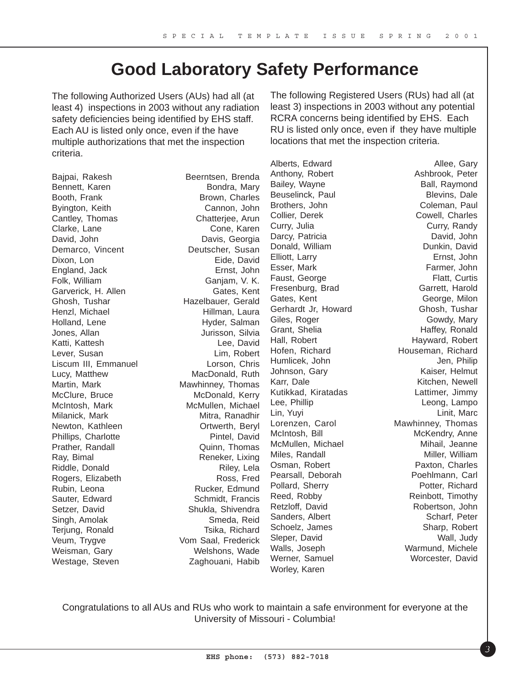## **Good Laboratory Safety Performance**

The following Authorized Users (AUs) had all (at least 4) inspections in 2003 without any radiation safety deficiencies being identified by EHS staff. Each AU is listed only once, even if the have multiple authorizations that met the inspection criteria.

Bajpai, Rakesh Beerntsen, Brenda Bennett, Karen Bondra, Mary Booth, Frank Brown, Charles Byington, Keith Cannon, John Cantley, Thomas Chatterjee, Arun Clarke, Lane Cone, Karen David, John Davis, Georgia Demarco, Vincent Deutscher, Susan Dixon, Lon Eide, David England, Jack Ernst, John Folk, William Ganjam, V. K. Garverick, H. Allen Gates, Kent Ghosh, Tushar **Hazelbauer**, Gerald Henzl, Michael **Hillman**, Laura Holland, Lene Hyder, Salman Jones, Allan Jurisson, Silvia Katti, Kattesh **Lee**, David Lever, Susan Lim, Robert Liscum III, Emmanuel Lorson, Chris Lucy, Matthew MacDonald, Ruth Martin, Mark Mawhinney, Thomas McClure, Bruce McDonald, Kerry McIntosh, Mark McMullen, Michael Milanick, Mark **Mitra, Ranadhir** Mitra, Ranadhir Newton, Kathleen **Ortwerth, Beryl** Phillips, Charlotte **Pintel**, David Prather, Randall **Dramatic Community** Quinn, Thomas Ray, Bimal Reneker, Lixing Riddle, Donald Riley, Lela Rogers, Elizabeth Ross, Fred Rubin, Leona Rucker, Edmund Sauter, Edward Schmidt, Francis Setzer, David Shukla, Shivendra Singh, Amolak Smeda, Reid Terjung, Ronald Tsika, Richard Veum, Trygve Vom Saal, Frederick Weisman, Gary Welshons, Wade Westage, Steven Zaghouani, Habib

Alberts, Edward **Allee**, Gary Anthony, Robert **Ashbrook**, Peter Bailey, Wayne **Ball**, Raymond Beuselinck, Paul **Blevins**, Dale Brothers, John Coleman, Paul Collier, Derek Cowell, Charles Curry, Julia Curry, Randy Darcy, Patricia **David, John** Donald, William Dunkin, David Elliott, Larry **Elliott**, Larry **Example 20** Esser, Mark Farmer, John Faust, George **Flatt**, Curtis Fresenburg, Brad Garrett, Harold Gates, Kent George, Milon Gerhardt Jr, Howard Ghosh, Tushar Giles, Roger Gowdy, Mary Grant, Shelia **Haffey, Ronald** Hall, Robert **Hayward, Robert** Hofen, Richard **Houseman, Richard** Humlicek, John Jen, Philip Johnson, Gary **Kaiser**, Helmut Karr, Dale **Kitchen, Newell** Kutikkad, Kiratadas Lattimer, Jimmy Lee, Phillip **Leong**, Lampo Lin, Yuyi Linit, Marc Lorenzen, Carol **Mawhinney**, Thomas McIntosh, Bill **McKendry**, Anne McMullen, Michael **Michael** Mihail, Jeanne Miles, Randall **Miller**, William Osman, Robert **Paxton, Charles** Pearsall, Deborah Poehlmann, Carl Pollard, Sherry Potter, Richard Reed, Robby Reinbott, Timothy Retzloff, David Robertson, John Sanders, Albert Scharf, Peter Schoelz, James Schoelz, Sharp, Robert Sleper, David Wall, Judy Walls, Joseph Warmund, Michele Werner, Samuel Worcester, David Worley, Karen

The following Registered Users (RUs) had all (at least 3) inspections in 2003 without any potential RCRA concerns being identified by EHS. Each RU is listed only once, even if they have multiple locations that met the inspection criteria.

Congratulations to all AUs and RUs who work to maintain a safe environment for everyone at the University of Missouri - Columbia!